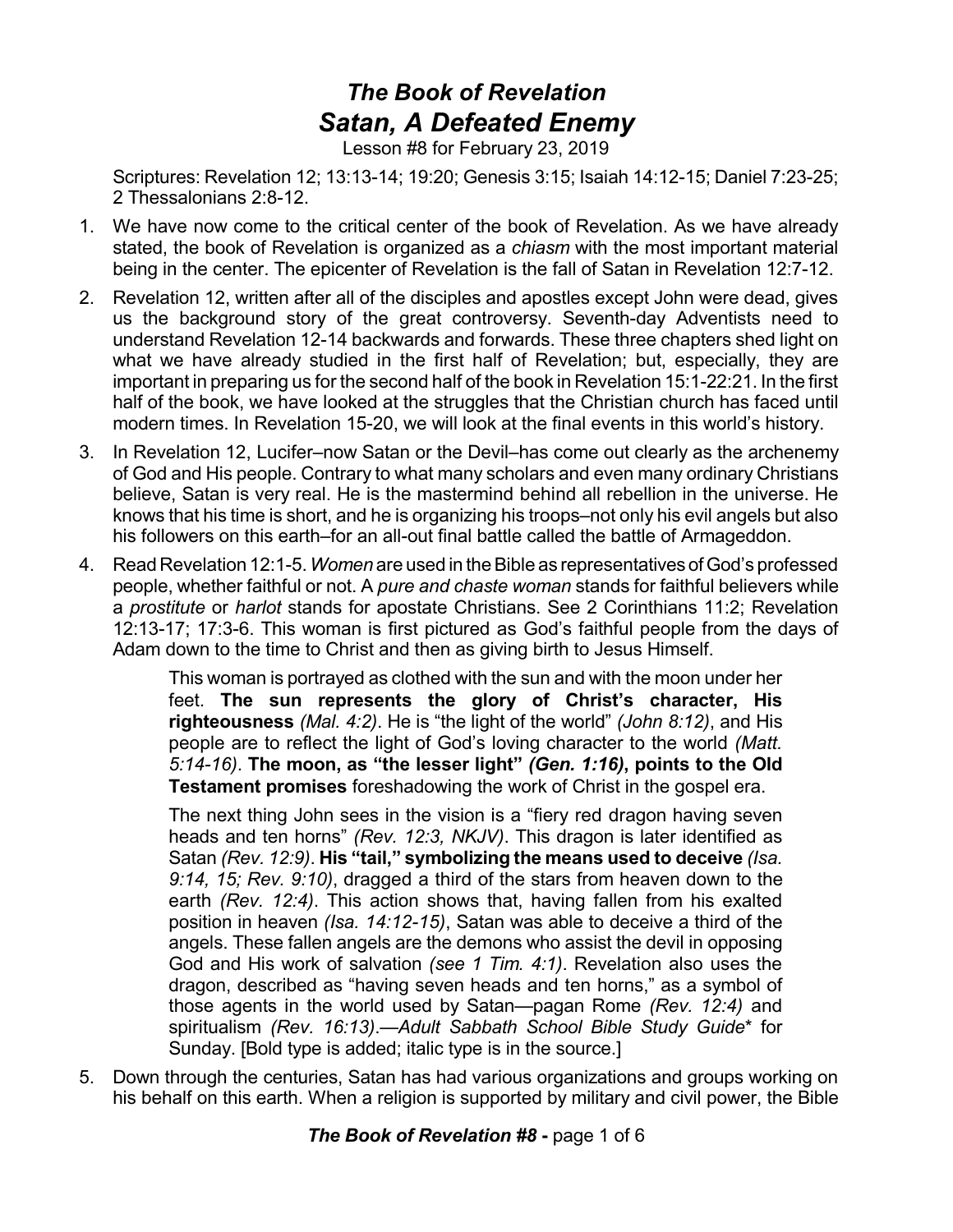## *The Book of Revelation Satan, A Defeated Enemy*

Lesson #8 for February 23, 2019

Scriptures: Revelation 12; 13:13-14; 19:20; Genesis 3:15; Isaiah 14:12-15; Daniel 7:23-25; 2 Thessalonians 2:8-12.

- 1. We have now come to the critical center of the book of Revelation. As we have already stated, the book of Revelation is organized as a *chiasm* with the most important material being in the center. The epicenter of Revelation is the fall of Satan in Revelation 12:7-12.
- 2. Revelation 12, written after all of the disciples and apostles except John were dead, gives us the background story of the great controversy. Seventh-day Adventists need to understand Revelation 12-14 backwards and forwards. These three chapters shed light on what we have already studied in the first half of Revelation; but, especially, they are important in preparing us for the second half of the book in Revelation 15:1-22:21. In the first half of the book, we have looked at the struggles that the Christian church has faced until modern times. In Revelation 15-20, we will look at the final events in this world's history.
- 3. In Revelation 12, Lucifer–now Satan or the Devil–has come out clearly as the archenemy of God and His people. Contrary to what many scholars and even many ordinary Christians believe, Satan is very real. He is the mastermind behind all rebellion in the universe. He knows that his time is short, and he is organizing his troops–not only his evil angels but also his followers on this earth–for an all-out final battle called the battle of Armageddon.
- 4. Read Revelation 12:1-5.*Women* are used in theBible as representatives ofGod's professed people, whether faithful or not. A *pure and chaste woman* stands for faithful believers while a *prostitute* or *harlot* stands for apostate Christians. See 2 Corinthians 11:2; Revelation 12:13-17; 17:3-6. This woman is first pictured as God's faithful people from the days of Adam down to the time to Christ and then as giving birth to Jesus Himself.

This woman is portrayed as clothed with the sun and with the moon under her feet. **The sun represents the glory of Christ's character, His righteousness** *(Mal. 4:2)*. He is "the light of the world" *(John 8:12)*, and His people are to reflect the light of God's loving character to the world *(Matt. 5:14-16)*. **The moon, as "the lesser light"** *(Gen. 1:16)***, points to the Old Testament promises** foreshadowing the work of Christ in the gospel era.

The next thing John sees in the vision is a "fiery red dragon having seven heads and ten horns" *(Rev. 12:3, NKJV)*. This dragon is later identified as Satan *(Rev. 12:9)*. **His "tail," symbolizing the means used to deceive** *(Isa. 9:14, 15; Rev. 9:10)*, dragged a third of the stars from heaven down to the earth *(Rev. 12:4)*. This action shows that, having fallen from his exalted position in heaven *(Isa. 14:12-15)*, Satan was able to deceive a third of the angels. These fallen angels are the demons who assist the devil in opposing God and His work of salvation *(see 1 Tim. 4:1)*. Revelation also uses the dragon, described as "having seven heads and ten horns," as a symbol of those agents in the world used by Satan—pagan Rome *(Rev. 12:4)* and spiritualism *(Rev. 16:13)*.—*Adult Sabbath School Bible Study Guide*\* for Sunday. [Bold type is added; italic type is in the source.]

5. Down through the centuries, Satan has had various organizations and groups working on his behalf on this earth. When a religion is supported by military and civil power, the Bible

*The Book of Revelation #8* **-** page 1 of 6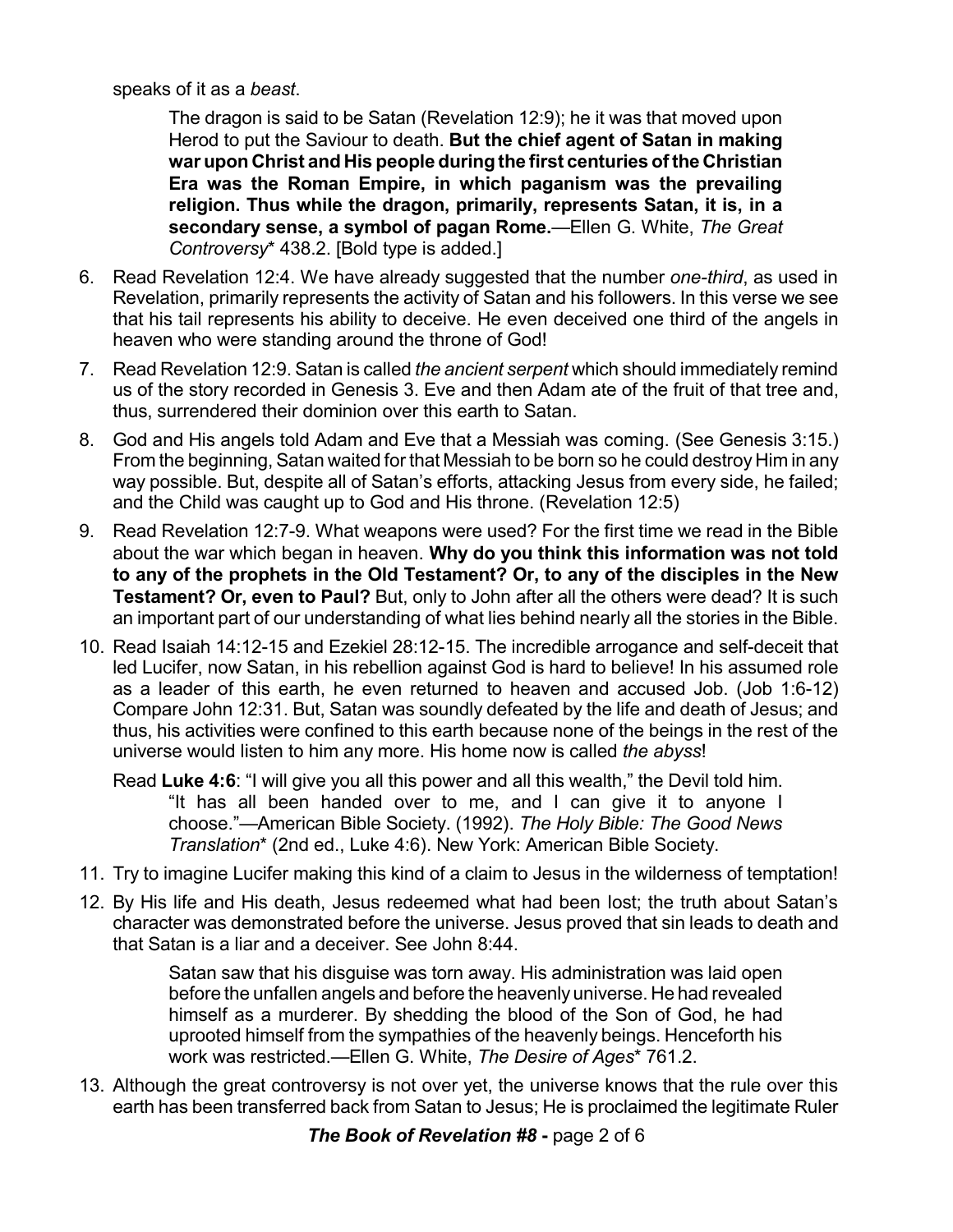speaks of it as a *beast*.

The dragon is said to be Satan (Revelation 12:9); he it was that moved upon Herod to put the Saviour to death. **But the chief agent of Satan in making war upon Christ and His people during the first centuries ofthe Christian Era was the Roman Empire, in which paganism was the prevailing religion. Thus while the dragon, primarily, represents Satan, it is, in a secondary sense, a symbol of pagan Rome.**—Ellen G. White, *The Great Controversy*\* 438.2. [Bold type is added.]

- 6. Read Revelation 12:4. We have already suggested that the number *one-third*, as used in Revelation, primarily represents the activity of Satan and his followers. In this verse we see that his tail represents his ability to deceive. He even deceived one third of the angels in heaven who were standing around the throne of God!
- 7. Read Revelation 12:9. Satan is called *the ancient serpent* which should immediately remind us of the story recorded in Genesis 3. Eve and then Adam ate of the fruit of that tree and, thus, surrendered their dominion over this earth to Satan.
- 8. God and His angels told Adam and Eve that a Messiah was coming. (See Genesis 3:15.) From the beginning, Satan waited for that Messiah to be born so he could destroy Him in any way possible. But, despite all of Satan's efforts, attacking Jesus from every side, he failed; and the Child was caught up to God and His throne. (Revelation 12:5)
- 9. Read Revelation 12:7-9. What weapons were used? For the first time we read in the Bible about the war which began in heaven. **Why do you think this information was not told to any of the prophets in the Old Testament? Or, to any of the disciples in the New Testament? Or, even to Paul?** But, only to John after all the others were dead? It is such an important part of our understanding of what lies behind nearly all the stories in the Bible.
- 10. Read Isaiah 14:12-15 and Ezekiel 28:12-15. The incredible arrogance and self-deceit that led Lucifer, now Satan, in his rebellion against God is hard to believe! In his assumed role as a leader of this earth, he even returned to heaven and accused Job. (Job 1:6-12) Compare John 12:31. But, Satan was soundly defeated by the life and death of Jesus; and thus, his activities were confined to this earth because none of the beings in the rest of the universe would listen to him any more. His home now is called *the abyss*!
	- Read **Luke 4:6**: "I will give you all this power and all this wealth," the Devil told him. "It has all been handed over to me, and I can give it to anyone I choose."—American Bible Society. (1992). *The Holy Bible: The Good News Translation*\* (2nd ed., Luke 4:6). New York: American Bible Society.
- 11. Try to imagine Lucifer making this kind of a claim to Jesus in the wilderness of temptation!
- 12. By His life and His death, Jesus redeemed what had been lost; the truth about Satan's character was demonstrated before the universe. Jesus proved that sin leads to death and that Satan is a liar and a deceiver. See John 8:44.

Satan saw that his disguise was torn away. His administration was laid open before the unfallen angels and before the heavenly universe. He had revealed himself as a murderer. By shedding the blood of the Son of God, he had uprooted himself from the sympathies of the heavenly beings. Henceforth his work was restricted.—Ellen G. White, *The Desire of Ages*\* 761.2.

13. Although the great controversy is not over yet, the universe knows that the rule over this earth has been transferred back from Satan to Jesus; He is proclaimed the legitimate Ruler

*The Book of Revelation #8* **-** page 2 of 6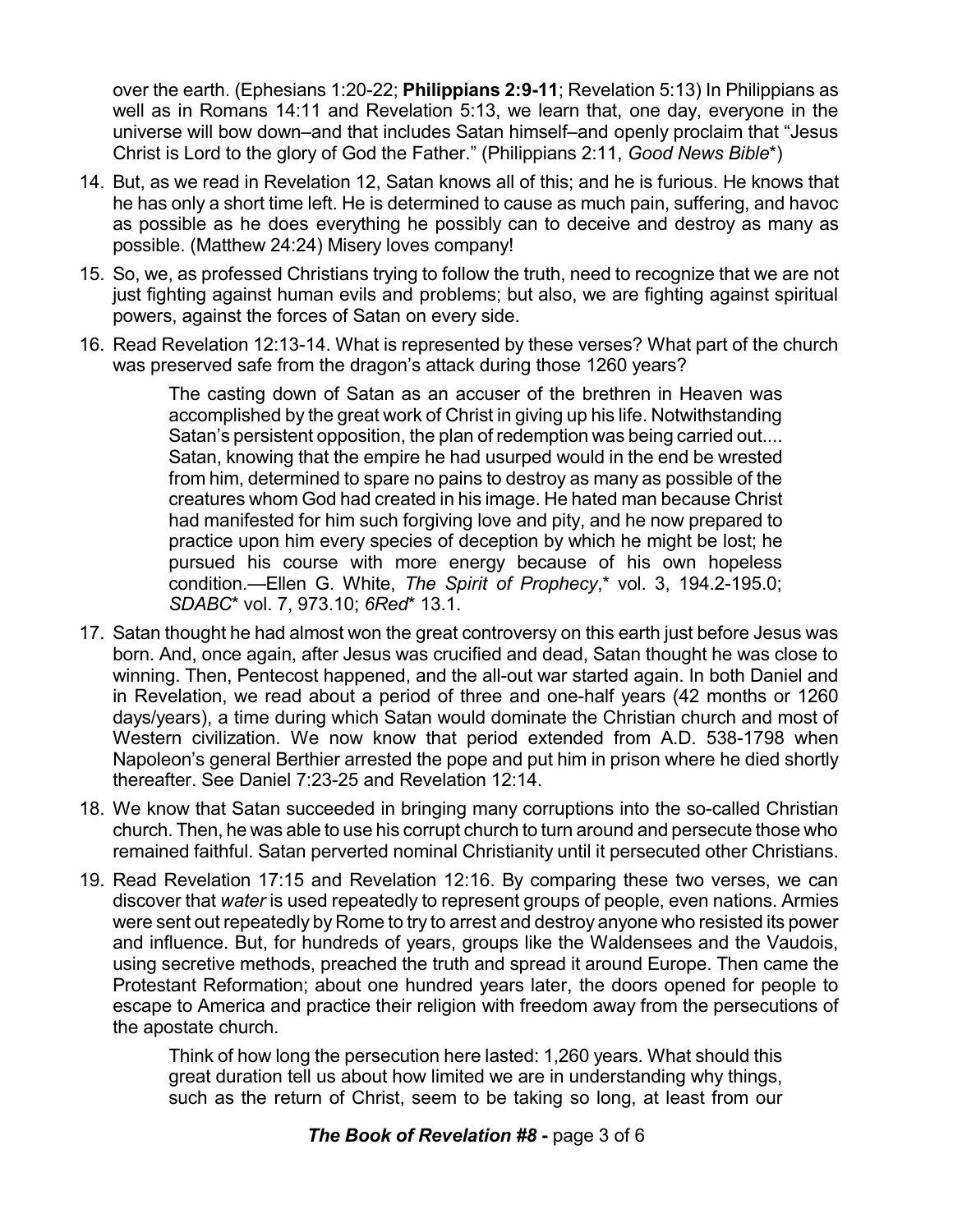over the earth. (Ephesians 1:20-22; **Philippians 2:9-11**; Revelation 5:13) In Philippians as well as in Romans 14:11 and Revelation 5:13, we learn that, one day, everyone in the universe will bow down–and that includes Satan himself–and openly proclaim that "Jesus Christ is Lord to the glory of God the Father." (Philippians 2:11, *Good News Bible*\*)

- 14. But, as we read in Revelation 12, Satan knows all of this; and he is furious. He knows that he has only a short time left. He is determined to cause as much pain, suffering, and havoc as possible as he does everything he possibly can to deceive and destroy as many as possible. (Matthew 24:24) Misery loves company!
- 15. So, we, as professed Christians trying to follow the truth, need to recognize that we are not just fighting against human evils and problems; but also, we are fighting against spiritual powers, against the forces of Satan on every side.
- 16. Read Revelation 12:13-14. What is represented by these verses? What part of the church was preserved safe from the dragon's attack during those 1260 years?

The casting down of Satan as an accuser of the brethren in Heaven was accomplished by the great work of Christ in giving up his life. Notwithstanding Satan's persistent opposition, the plan of redemption was being carried out.... Satan, knowing that the empire he had usurped would in the end be wrested from him, determined to spare no pains to destroy as many as possible of the creatures whom God had created in his image. He hated man because Christ had manifested for him such forgiving love and pity, and he now prepared to practice upon him every species of deception by which he might be lost; he pursued his course with more energy because of his own hopeless condition.—Ellen G. White, *The Spirit of Prophecy*,\* vol. 3, 194.2-195.0; *SDABC*\* vol. 7, 973.10; *6Red*\* 13.1.

- 17. Satan thought he had almost won the great controversy on this earth just before Jesus was born. And, once again, after Jesus was crucified and dead, Satan thought he was close to winning. Then, Pentecost happened, and the all-out war started again. In both Daniel and in Revelation, we read about a period of three and one-half years (42 months or 1260 days/years), a time during which Satan would dominate the Christian church and most of Western civilization. We now know that period extended from A.D. 538-1798 when Napoleon's general Berthier arrested the pope and put him in prison where he died shortly thereafter. See Daniel 7:23-25 and Revelation 12:14.
- 18. We know that Satan succeeded in bringing many corruptions into the so-called Christian church. Then, he was able to use his corrupt church to turn around and persecute those who remained faithful. Satan perverted nominal Christianity until it persecuted other Christians.
- 19. Read Revelation 17:15 and Revelation 12:16. By comparing these two verses, we can discover that *water* is used repeatedly to represent groups of people, even nations. Armies were sent out repeatedly by Rome to try to arrest and destroy anyone who resisted its power and influence. But, for hundreds of years, groups like the Waldensees and the Vaudois, using secretive methods, preached the truth and spread it around Europe. Then came the Protestant Reformation; about one hundred years later, the doors opened for people to escape to America and practice their religion with freedom away from the persecutions of the apostate church.

Think of how long the persecution here lasted: 1,260 years. What should this great duration tell us about how limited we are in understanding why things, such as the return of Christ, seem to be taking so long, at least from our

## *The Book of Revelation #8* **-** page 3 of 6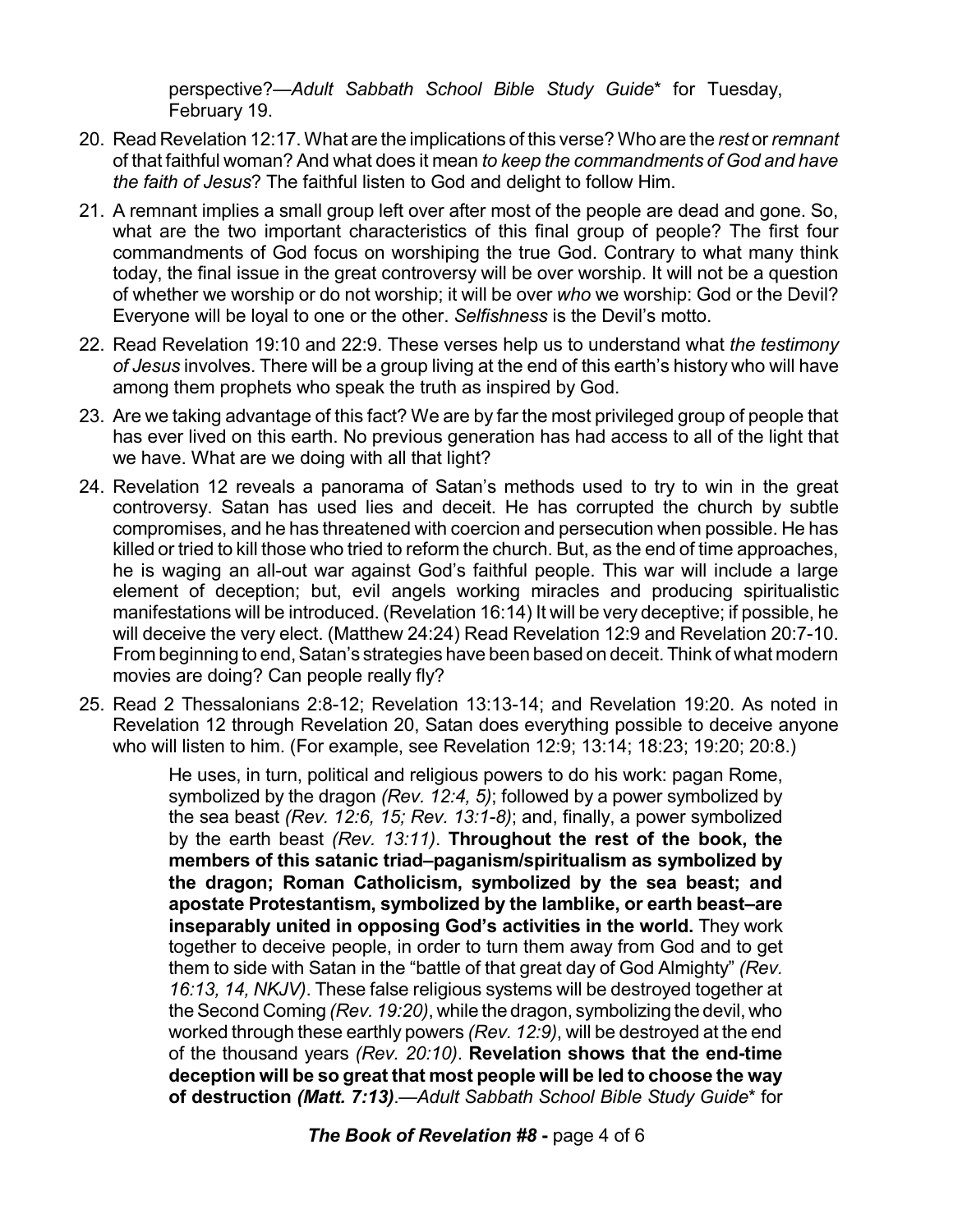perspective?—*Adult Sabbath School Bible Study Guide*\* for Tuesday, February 19.

- 20. Read Revelation 12:17. What are the implications of this verse? Who are the *rest* or *remnant* of that faithful woman? And what does it mean *to keep the commandments of God and have the faith of Jesus*? The faithful listen to God and delight to follow Him.
- 21. A remnant implies a small group left over after most of the people are dead and gone. So, what are the two important characteristics of this final group of people? The first four commandments of God focus on worshiping the true God. Contrary to what many think today, the final issue in the great controversy will be over worship. It will not be a question of whether we worship or do not worship; it will be over *who* we worship: God or the Devil? Everyone will be loyal to one or the other. *Selfishness* is the Devil's motto.
- 22. Read Revelation 19:10 and 22:9. These verses help us to understand what *the testimony of Jesus* involves. There will be a group living at the end of this earth's history who will have among them prophets who speak the truth as inspired by God.
- 23. Are we taking advantage of this fact? We are by far the most privileged group of people that has ever lived on this earth. No previous generation has had access to all of the light that we have. What are we doing with all that light?
- 24. Revelation 12 reveals a panorama of Satan's methods used to try to win in the great controversy. Satan has used lies and deceit. He has corrupted the church by subtle compromises, and he has threatened with coercion and persecution when possible. He has killed or tried to kill those who tried to reform the church. But, as the end of time approaches, he is waging an all-out war against God's faithful people. This war will include a large element of deception; but, evil angels working miracles and producing spiritualistic manifestations will be introduced. (Revelation 16:14) It will be very deceptive; if possible, he will deceive the very elect. (Matthew 24:24) Read Revelation 12:9 and Revelation 20:7-10. From beginning to end, Satan's strategies have been based on deceit. Think of what modern movies are doing? Can people really fly?
- 25. Read 2 Thessalonians 2:8-12; Revelation 13:13-14; and Revelation 19:20. As noted in Revelation 12 through Revelation 20, Satan does everything possible to deceive anyone who will listen to him. (For example, see Revelation 12:9; 13:14; 18:23; 19:20; 20:8.)

He uses, in turn, political and religious powers to do his work: pagan Rome, symbolized by the dragon *(Rev. 12:4, 5)*; followed by a power symbolized by the sea beast *(Rev. 12:6, 15; Rev. 13:1-8)*; and, finally, a power symbolized by the earth beast *(Rev. 13:11)*. **Throughout the rest of the book, the members of this satanic triad–paganism/spiritualism as symbolized by the dragon; Roman Catholicism, symbolized by the sea beast; and apostate Protestantism, symbolized by the lamblike, or earth beast–are inseparably united in opposing God's activities in the world.** They work together to deceive people, in order to turn them away from God and to get them to side with Satan in the "battle of that great day of God Almighty" *(Rev. 16:13, 14, NKJV)*. These false religious systems will be destroyed together at theSecond Coming *(Rev. 19:20)*, while the dragon, symbolizing the devil, who worked through these earthly powers *(Rev. 12:9)*, will be destroyed at the end of the thousand years *(Rev. 20:10)*. **Revelation shows that the end-time deception will be so great that most people will be led to choose the way of destruction** *(Matt. 7:13)*.—*Adult Sabbath School Bible Study Guide*\* for

*The Book of Revelation #8* **-** page 4 of 6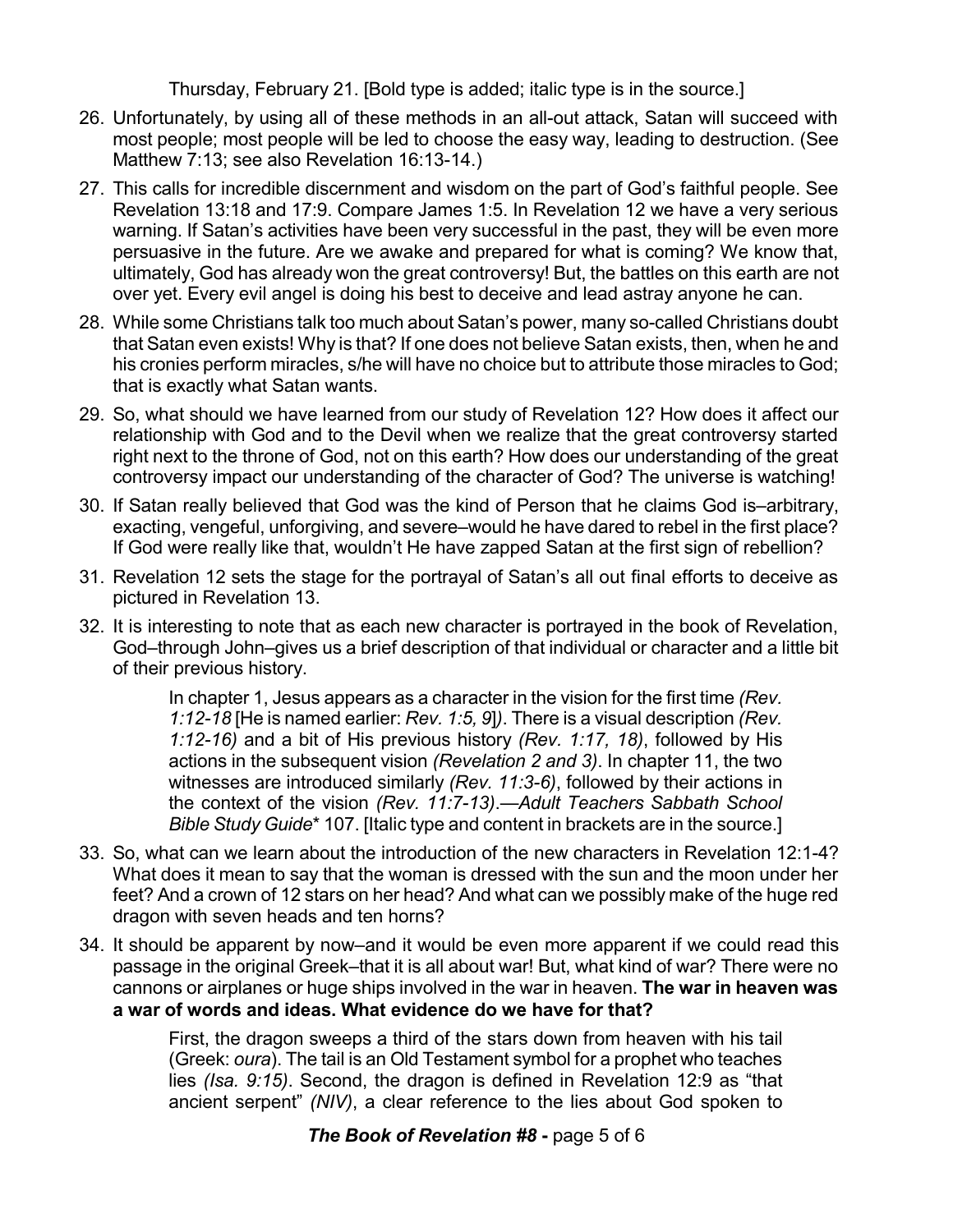Thursday, February 21. [Bold type is added; italic type is in the source.]

- 26. Unfortunately, by using all of these methods in an all-out attack, Satan will succeed with most people; most people will be led to choose the easy way, leading to destruction. (See Matthew 7:13; see also Revelation 16:13-14.)
- 27. This calls for incredible discernment and wisdom on the part of God's faithful people. See Revelation 13:18 and 17:9. Compare James 1:5. In Revelation 12 we have a very serious warning. If Satan's activities have been very successful in the past, they will be even more persuasive in the future. Are we awake and prepared for what is coming? We know that, ultimately, God has already won the great controversy! But, the battles on this earth are not over yet. Every evil angel is doing his best to deceive and lead astray anyone he can.
- 28. While some Christians talk too much about Satan's power, many so-called Christians doubt that Satan even exists! Why is that? If one does not believe Satan exists, then, when he and his cronies perform miracles, s/he will have no choice but to attribute those miracles to God; that is exactly what Satan wants.
- 29. So, what should we have learned from our study of Revelation 12? How does it affect our relationship with God and to the Devil when we realize that the great controversy started right next to the throne of God, not on this earth? How does our understanding of the great controversy impact our understanding of the character of God? The universe is watching!
- 30. If Satan really believed that God was the kind of Person that he claims God is–arbitrary, exacting, vengeful, unforgiving, and severe–would he have dared to rebel in the first place? If God were really like that, wouldn't He have zapped Satan at the first sign of rebellion?
- 31. Revelation 12 sets the stage for the portrayal of Satan's all out final efforts to deceive as pictured in Revelation 13.
- 32. It is interesting to note that as each new character is portrayed in the book of Revelation, God–through John–gives us a brief description of that individual or character and a little bit of their previous history.

In chapter 1, Jesus appears as a character in the vision for the first time *(Rev. 1:12-18* [He is named earlier: *Rev. 1:5, 9*]*)*. There is a visual description *(Rev. 1:12-16)* and a bit of His previous history *(Rev. 1:17, 18)*, followed by His actions in the subsequent vision *(Revelation 2 and 3)*. In chapter 11, the two witnesses are introduced similarly *(Rev. 11:3-6)*, followed by their actions in the context of the vision *(Rev. 11:7-13)*.—*Adult Teachers Sabbath School Bible Study Guide*\* 107. [Italic type and content in brackets are in the source.]

- 33. So, what can we learn about the introduction of the new characters in Revelation 12:1-4? What does it mean to say that the woman is dressed with the sun and the moon under her feet? And a crown of 12 stars on her head? And what can we possibly make of the huge red dragon with seven heads and ten horns?
- 34. It should be apparent by now–and it would be even more apparent if we could read this passage in the original Greek–that it is all about war! But, what kind of war? There were no cannons or airplanes or huge ships involved in the war in heaven. **The war in heaven was a war of words and ideas. What evidence do we have for that?**

First, the dragon sweeps a third of the stars down from heaven with his tail (Greek: *oura*). The tail is an Old Testament symbol for a prophet who teaches lies *(Isa. 9:15)*. Second, the dragon is defined in Revelation 12:9 as "that ancient serpent" *(NIV)*, a clear reference to the lies about God spoken to

## *The Book of Revelation #8* **-** page 5 of 6